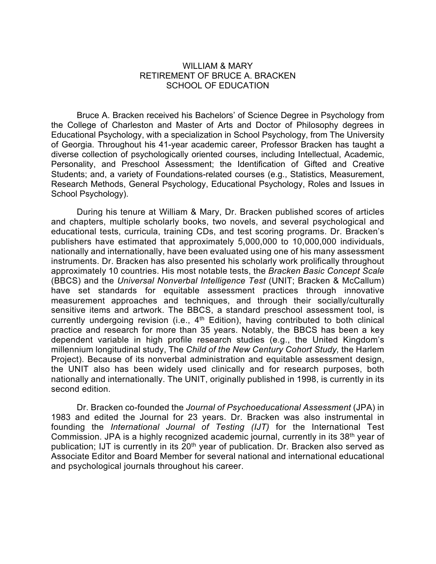## WILLIAM & MARY RETIREMENT OF BRUCE A. BRACKEN SCHOOL OF EDUCATION

Bruce A. Bracken received his Bachelors' of Science Degree in Psychology from the College of Charleston and Master of Arts and Doctor of Philosophy degrees in Educational Psychology, with a specialization in School Psychology, from The University of Georgia. Throughout his 41-year academic career, Professor Bracken has taught a diverse collection of psychologically oriented courses, including Intellectual, Academic, Personality, and Preschool Assessment; the Identification of Gifted and Creative Students; and, a variety of Foundations-related courses (e.g., Statistics, Measurement, Research Methods, General Psychology, Educational Psychology, Roles and Issues in School Psychology).

During his tenure at William & Mary, Dr. Bracken published scores of articles and chapters, multiple scholarly books, two novels, and several psychological and educational tests, curricula, training CDs, and test scoring programs. Dr. Bracken's publishers have estimated that approximately 5,000,000 to 10,000,000 individuals, nationally and internationally, have been evaluated using one of his many assessment instruments. Dr. Bracken has also presented his scholarly work prolifically throughout approximately 10 countries. His most notable tests, the *Bracken Basic Concept Scale* (BBCS) and the *Universal Nonverbal Intelligence Test* (UNIT; Bracken & McCallum) have set standards for equitable assessment practices through innovative measurement approaches and techniques, and through their socially/culturally sensitive items and artwork. The BBCS, a standard preschool assessment tool, is currently undergoing revision (i.e., 4<sup>th</sup> Edition), having contributed to both clinical practice and research for more than 35 years. Notably, the BBCS has been a key dependent variable in high profile research studies (e.g., the United Kingdom's millennium longitudinal study, The *Child of the New Century Cohort Study,* the Harlem Project). Because of its nonverbal administration and equitable assessment design, the UNIT also has been widely used clinically and for research purposes, both nationally and internationally. The UNIT, originally published in 1998, is currently in its second edition.

Dr. Bracken co-founded the *Journal of Psychoeducational Assessment* (JPA) in 1983 and edited the Journal for 23 years. Dr. Bracken was also instrumental in founding the *International Journal of Testing (IJT)* for the International Test Commission. JPA is a highly recognized academic journal, currently in its 38th year of publication; IJT is currently in its 20<sup>th</sup> year of publication. Dr. Bracken also served as Associate Editor and Board Member for several national and international educational and psychological journals throughout his career.